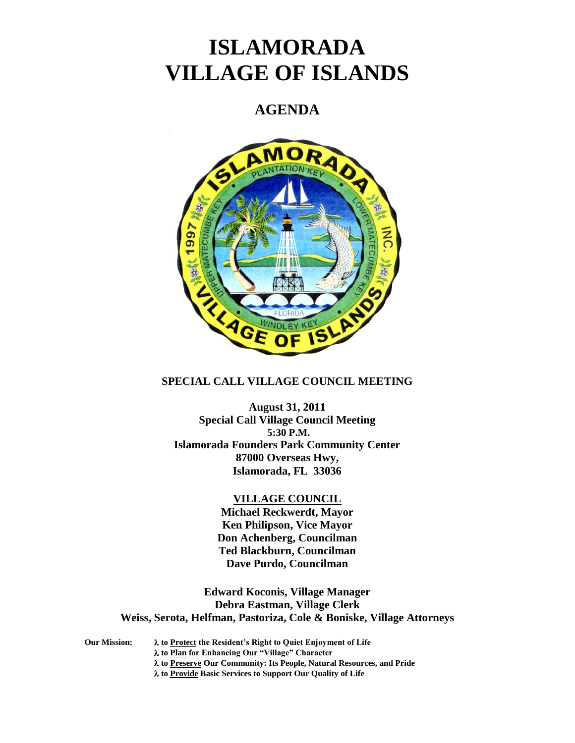# **ISLAMORADA VILLAGE OF ISLANDS**

# **AGENDA**



# **SPECIAL CALL VILLAGE COUNCIL MEETING**

**August 31, 2011 Special Call Village Council Meeting 5:30 P.M. Islamorada Founders Park Community Center 87000 Overseas Hwy, Islamorada, FL 33036**

# **VILLAGE COUNCIL**

**Michael Reckwerdt, Mayor Ken Philipson, Vice Mayor Don Achenberg, Councilman Ted Blackburn, Councilman Dave Purdo, Councilman**

**Edward Koconis, Village Manager Debra Eastman, Village Clerk Weiss, Serota, Helfman, Pastoriza, Cole & Boniske, Village Attorneys**

**Our Mission: to Protect the Resident's Right to Quiet Enjoyment of Life to Plan for Enhancing Our "Village" Character**

**to Preserve Our Community: Its People, Natural Resources, and Pride**

**to Provide Basic Services to Support Our Quality of Life**